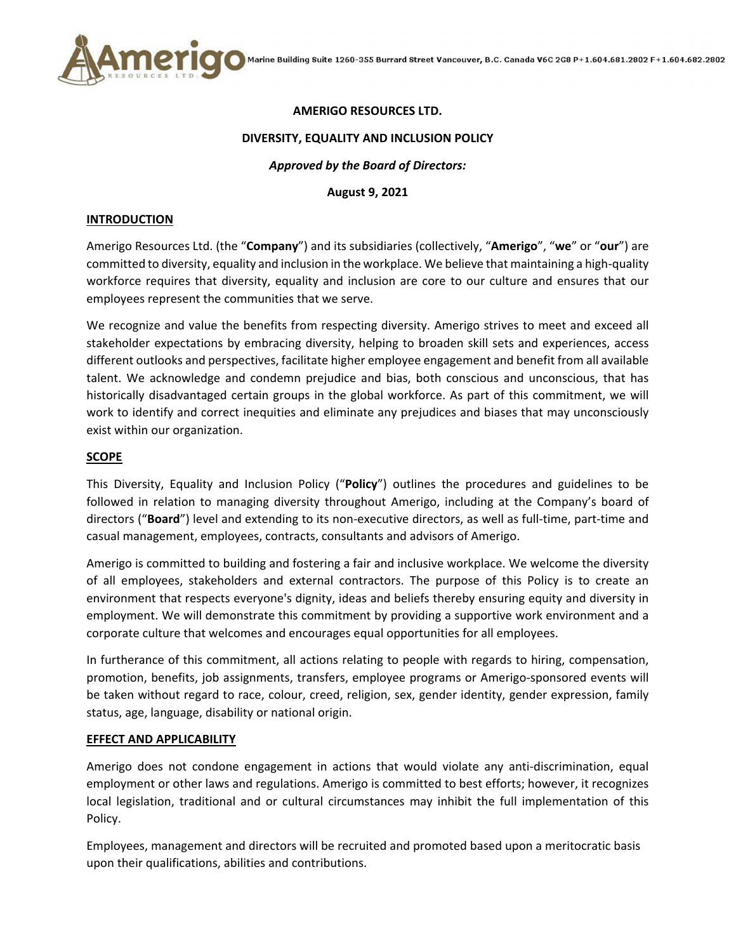

### **AMERIGO RESOURCES LTD.**

#### **DIVERSITY, EQUALITY AND INCLUSION POLICY**

### *Approved by the Board of Directors:*

### **August 9, 2021**

#### **INTRODUCTION**

Amerigo Resources Ltd. (the "**Company**") and its subsidiaries (collectively, "**Amerigo**", "**we**" or "**our**") are committed to diversity, equality and inclusion in the workplace. We believe that maintaining a high‐quality workforce requires that diversity, equality and inclusion are core to our culture and ensures that our employees represent the communities that we serve.

We recognize and value the benefits from respecting diversity. Amerigo strives to meet and exceed all stakeholder expectations by embracing diversity, helping to broaden skill sets and experiences, access different outlooks and perspectives, facilitate higher employee engagement and benefit from all available talent. We acknowledge and condemn prejudice and bias, both conscious and unconscious, that has historically disadvantaged certain groups in the global workforce. As part of this commitment, we will work to identify and correct inequities and eliminate any prejudices and biases that may unconsciously exist within our organization.

### **SCOPE**

This Diversity, Equality and Inclusion Policy ("**Policy**") outlines the procedures and guidelines to be followed in relation to managing diversity throughout Amerigo, including at the Company's board of directors ("**Board**") level and extending to its non‐executive directors, as well as full‐time, part‐time and casual management, employees, contracts, consultants and advisors of Amerigo.

Amerigo is committed to building and fostering a fair and inclusive workplace. We welcome the diversity of all employees, stakeholders and external contractors. The purpose of this Policy is to create an environment that respects everyone's dignity, ideas and beliefs thereby ensuring equity and diversity in employment. We will demonstrate this commitment by providing a supportive work environment and a corporate culture that welcomes and encourages equal opportunities for all employees.

In furtherance of this commitment, all actions relating to people with regards to hiring, compensation, promotion, benefits, job assignments, transfers, employee programs or Amerigo‐sponsored events will be taken without regard to race, colour, creed, religion, sex, gender identity, gender expression, family status, age, language, disability or national origin.

### **EFFECT AND APPLICABILITY**

Amerigo does not condone engagement in actions that would violate any anti‐discrimination, equal employment or other laws and regulations. Amerigo is committed to best efforts; however, it recognizes local legislation, traditional and or cultural circumstances may inhibit the full implementation of this Policy.

Employees, management and directors will be recruited and promoted based upon a meritocratic basis upon their qualifications, abilities and contributions.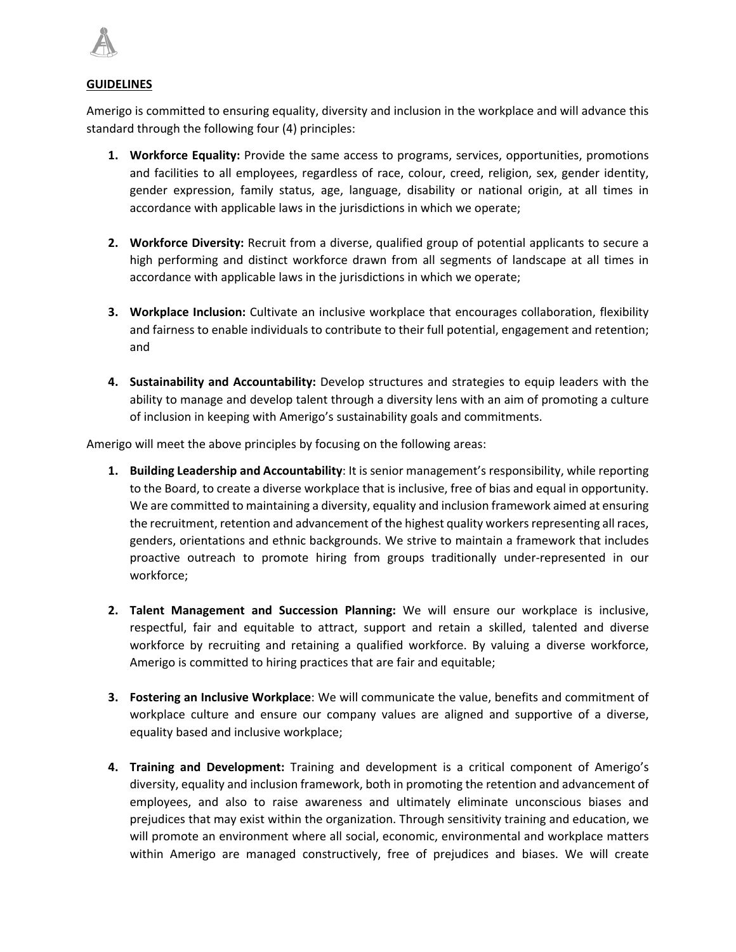

### **GUIDELINES**

Amerigo is committed to ensuring equality, diversity and inclusion in the workplace and will advance this standard through the following four (4) principles:

- **1. Workforce Equality:** Provide the same access to programs, services, opportunities, promotions and facilities to all employees, regardless of race, colour, creed, religion, sex, gender identity, gender expression, family status, age, language, disability or national origin, at all times in accordance with applicable laws in the jurisdictions in which we operate;
- **2. Workforce Diversity:** Recruit from a diverse, qualified group of potential applicants to secure a high performing and distinct workforce drawn from all segments of landscape at all times in accordance with applicable laws in the jurisdictions in which we operate;
- **3. Workplace Inclusion:** Cultivate an inclusive workplace that encourages collaboration, flexibility and fairness to enable individuals to contribute to their full potential, engagement and retention; and
- **4. Sustainability and Accountability:** Develop structures and strategies to equip leaders with the ability to manage and develop talent through a diversity lens with an aim of promoting a culture of inclusion in keeping with Amerigo's sustainability goals and commitments.

Amerigo will meet the above principles by focusing on the following areas:

- **1. Building Leadership and Accountability**: It is senior management's responsibility, while reporting to the Board, to create a diverse workplace that is inclusive, free of bias and equal in opportunity. We are committed to maintaining a diversity, equality and inclusion framework aimed at ensuring the recruitment, retention and advancement of the highest quality workers representing all races, genders, orientations and ethnic backgrounds. We strive to maintain a framework that includes proactive outreach to promote hiring from groups traditionally under‐represented in our workforce;
- **2. Talent Management and Succession Planning:** We will ensure our workplace is inclusive, respectful, fair and equitable to attract, support and retain a skilled, talented and diverse workforce by recruiting and retaining a qualified workforce. By valuing a diverse workforce, Amerigo is committed to hiring practices that are fair and equitable;
- **3. Fostering an Inclusive Workplace**: We will communicate the value, benefits and commitment of workplace culture and ensure our company values are aligned and supportive of a diverse, equality based and inclusive workplace;
- **4. Training and Development:** Training and development is a critical component of Amerigo's diversity, equality and inclusion framework, both in promoting the retention and advancement of employees, and also to raise awareness and ultimately eliminate unconscious biases and prejudices that may exist within the organization. Through sensitivity training and education, we will promote an environment where all social, economic, environmental and workplace matters within Amerigo are managed constructively, free of prejudices and biases. We will create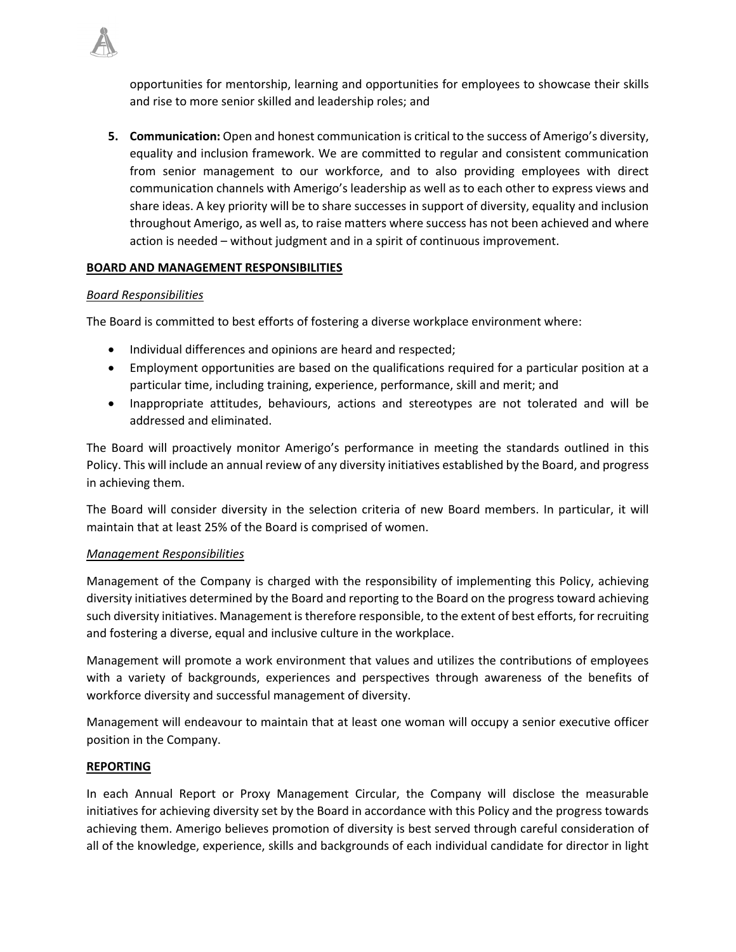opportunities for mentorship, learning and opportunities for employees to showcase their skills and rise to more senior skilled and leadership roles; and

**5. Communication:** Open and honest communication is critical to the success of Amerigo's diversity, equality and inclusion framework. We are committed to regular and consistent communication from senior management to our workforce, and to also providing employees with direct communication channels with Amerigo's leadership as well as to each other to express views and share ideas. A key priority will be to share successes in support of diversity, equality and inclusion throughout Amerigo, as well as, to raise matters where success has not been achieved and where action is needed – without judgment and in a spirit of continuous improvement.

# **BOARD AND MANAGEMENT RESPONSIBILITIES**

# *Board Responsibilities*

The Board is committed to best efforts of fostering a diverse workplace environment where:

- Individual differences and opinions are heard and respected;
- Employment opportunities are based on the qualifications required for a particular position at a particular time, including training, experience, performance, skill and merit; and
- Inappropriate attitudes, behaviours, actions and stereotypes are not tolerated and will be addressed and eliminated.

The Board will proactively monitor Amerigo's performance in meeting the standards outlined in this Policy. This will include an annual review of any diversity initiatives established by the Board, and progress in achieving them.

The Board will consider diversity in the selection criteria of new Board members. In particular, it will maintain that at least 25% of the Board is comprised of women.

### *Management Responsibilities*

Management of the Company is charged with the responsibility of implementing this Policy, achieving diversity initiatives determined by the Board and reporting to the Board on the progress toward achieving such diversity initiatives. Management istherefore responsible, to the extent of best efforts, for recruiting and fostering a diverse, equal and inclusive culture in the workplace.

Management will promote a work environment that values and utilizes the contributions of employees with a variety of backgrounds, experiences and perspectives through awareness of the benefits of workforce diversity and successful management of diversity.

Management will endeavour to maintain that at least one woman will occupy a senior executive officer position in the Company.

### **REPORTING**

In each Annual Report or Proxy Management Circular, the Company will disclose the measurable initiatives for achieving diversity set by the Board in accordance with this Policy and the progress towards achieving them. Amerigo believes promotion of diversity is best served through careful consideration of all of the knowledge, experience, skills and backgrounds of each individual candidate for director in light